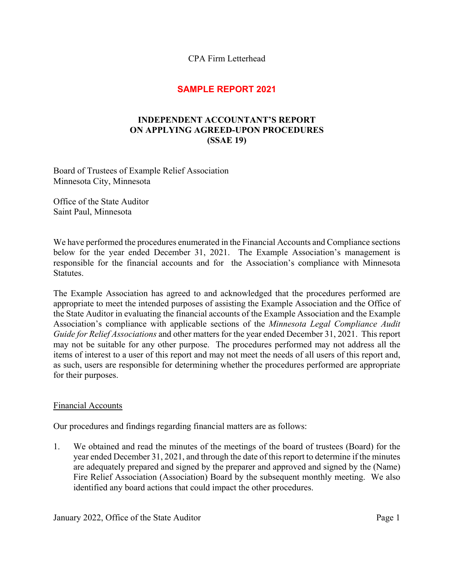CPA Firm Letterhead

## **SAMPLE REPORT 2021**

## **INDEPENDENT ACCOUNTANT'S REPORT ON APPLYING AGREED-UPON PROCEDURES (SSAE 19)**

Board of Trustees of Example Relief Association Minnesota City, Minnesota

Office of the State Auditor Saint Paul, Minnesota

We have performed the procedures enumerated in the Financial Accounts and Compliance sections below for the year ended December 31, 2021. The Example Association's management is responsible for the financial accounts and for the Association's compliance with Minnesota Statutes.

The Example Association has agreed to and acknowledged that the procedures performed are appropriate to meet the intended purposes of assisting the Example Association and the Office of the State Auditor in evaluating the financial accounts of the Example Association and the Example Association's compliance with applicable sections of the *Minnesota Legal Compliance Audit Guide for Relief Associations* and other matters for the year ended December 31, 2021. This report may not be suitable for any other purpose. The procedures performed may not address all the items of interest to a user of this report and may not meet the needs of all users of this report and, as such, users are responsible for determining whether the procedures performed are appropriate for their purposes.

## Financial Accounts

Our procedures and findings regarding financial matters are as follows:

1. We obtained and read the minutes of the meetings of the board of trustees (Board) for the year ended December 31, 2021, and through the date of this report to determine if the minutes are adequately prepared and signed by the preparer and approved and signed by the (Name) Fire Relief Association (Association) Board by the subsequent monthly meeting. We also identified any board actions that could impact the other procedures.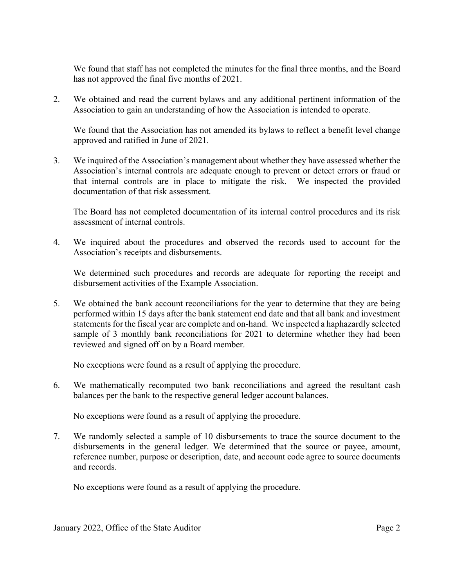We found that staff has not completed the minutes for the final three months, and the Board has not approved the final five months of 2021.

2. We obtained and read the current bylaws and any additional pertinent information of the Association to gain an understanding of how the Association is intended to operate.

 We found that the Association has not amended its bylaws to reflect a benefit level change approved and ratified in June of 2021.

3. We inquired of the Association's management about whether they have assessed whether the Association's internal controls are adequate enough to prevent or detect errors or fraud or that internal controls are in place to mitigate the risk. We inspected the provided documentation of that risk assessment.

The Board has not completed documentation of its internal control procedures and its risk assessment of internal controls.

4. We inquired about the procedures and observed the records used to account for the Association's receipts and disbursements.

We determined such procedures and records are adequate for reporting the receipt and disbursement activities of the Example Association.

5. We obtained the bank account reconciliations for the year to determine that they are being performed within 15 days after the bank statement end date and that all bank and investment statements for the fiscal year are complete and on-hand. We inspected a haphazardly selected sample of 3 monthly bank reconciliations for 2021 to determine whether they had been reviewed and signed off on by a Board member.

No exceptions were found as a result of applying the procedure.

6. We mathematically recomputed two bank reconciliations and agreed the resultant cash balances per the bank to the respective general ledger account balances.

No exceptions were found as a result of applying the procedure.

7. We randomly selected a sample of 10 disbursements to trace the source document to the disbursements in the general ledger. We determined that the source or payee, amount, reference number, purpose or description, date, and account code agree to source documents and records.

No exceptions were found as a result of applying the procedure.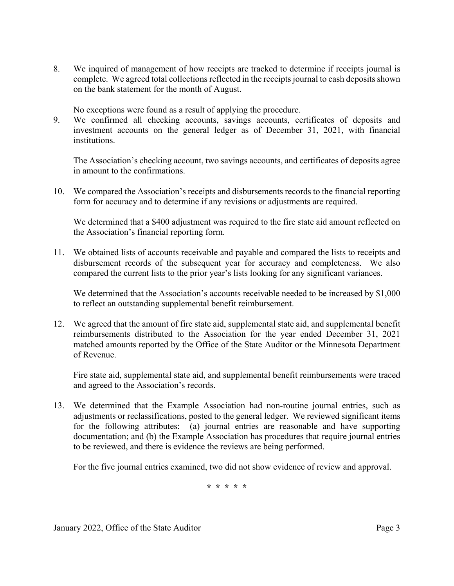8. We inquired of management of how receipts are tracked to determine if receipts journal is complete. We agreed total collections reflected in the receipts journal to cash deposits shown on the bank statement for the month of August.

No exceptions were found as a result of applying the procedure.

9. We confirmed all checking accounts, savings accounts, certificates of deposits and investment accounts on the general ledger as of December 31, 2021, with financial institutions.

The Association's checking account, two savings accounts, and certificates of deposits agree in amount to the confirmations.

10. We compared the Association's receipts and disbursements records to the financial reporting form for accuracy and to determine if any revisions or adjustments are required.

We determined that a \$400 adjustment was required to the fire state aid amount reflected on the Association's financial reporting form.

11. We obtained lists of accounts receivable and payable and compared the lists to receipts and disbursement records of the subsequent year for accuracy and completeness. We also compared the current lists to the prior year's lists looking for any significant variances.

We determined that the Association's accounts receivable needed to be increased by \$1,000 to reflect an outstanding supplemental benefit reimbursement.

12. We agreed that the amount of fire state aid, supplemental state aid, and supplemental benefit reimbursements distributed to the Association for the year ended December 31, 2021 matched amounts reported by the Office of the State Auditor or the Minnesota Department of Revenue.

Fire state aid, supplemental state aid, and supplemental benefit reimbursements were traced and agreed to the Association's records.

13. We determined that the Example Association had non-routine journal entries, such as adjustments or reclassifications, posted to the general ledger. We reviewed significant items for the following attributes: (a) journal entries are reasonable and have supporting documentation; and (b) the Example Association has procedures that require journal entries to be reviewed, and there is evidence the reviews are being performed.

For the five journal entries examined, two did not show evidence of review and approval.

**\* \* \* \* \***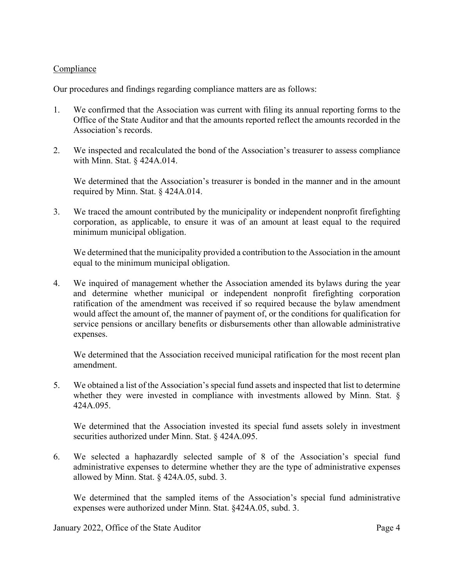## Compliance

Our procedures and findings regarding compliance matters are as follows:

- 1. We confirmed that the Association was current with filing its annual reporting forms to the Office of the State Auditor and that the amounts reported reflect the amounts recorded in the Association's records.
- 2. We inspected and recalculated the bond of the Association's treasurer to assess compliance with Minn. Stat. § 424A.014.

 We determined that the Association's treasurer is bonded in the manner and in the amount required by Minn. Stat. § 424A.014.

3. We traced the amount contributed by the municipality or independent nonprofit firefighting corporation, as applicable, to ensure it was of an amount at least equal to the required minimum municipal obligation.

 We determined that the municipality provided a contribution to the Association in the amount equal to the minimum municipal obligation.

4. We inquired of management whether the Association amended its bylaws during the year and determine whether municipal or independent nonprofit firefighting corporation ratification of the amendment was received if so required because the bylaw amendment would affect the amount of, the manner of payment of, or the conditions for qualification for service pensions or ancillary benefits or disbursements other than allowable administrative expenses.

 We determined that the Association received municipal ratification for the most recent plan amendment.

5. We obtained a list of the Association's special fund assets and inspected that list to determine whether they were invested in compliance with investments allowed by Minn. Stat. § 424A.095.

 We determined that the Association invested its special fund assets solely in investment securities authorized under Minn. Stat. § 424A.095.

6. We selected a haphazardly selected sample of 8 of the Association's special fund administrative expenses to determine whether they are the type of administrative expenses allowed by Minn. Stat. § 424A.05, subd. 3.

 We determined that the sampled items of the Association's special fund administrative expenses were authorized under Minn. Stat. §424A.05, subd. 3.